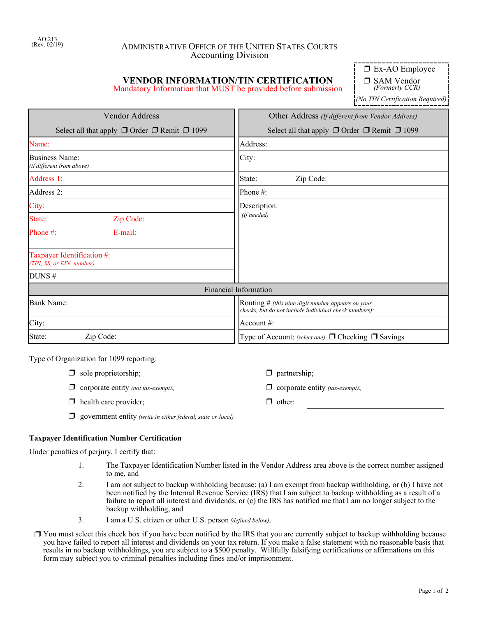## ADMINISTRATIVE OFFICE OF THE UNITED STATES COURTS Accounting Division

# **VENDOR INFORMATION/TIN CERTIFICATION**

Mandatory Information that MUST be provided before submission

 $\Box$  Ex-AO Employee

□ SAM Vendor *(Formerly CCR)*

*(No TIN Certification Required)*

| <b>Vendor Address</b>                                       | Other Address (If different from Vendor Address)                                                             |  |  |
|-------------------------------------------------------------|--------------------------------------------------------------------------------------------------------------|--|--|
| Select all that apply $\Box$ Order $\Box$ Remit $\Box$ 1099 | Select all that apply $\Box$ Order $\Box$ Remit $\Box$ 1099                                                  |  |  |
| Name:                                                       | Address:                                                                                                     |  |  |
| <b>Business Name:</b><br>(if different from above)          | City:                                                                                                        |  |  |
| Address 1:                                                  | State:<br>Zip Code:                                                                                          |  |  |
| Address 2:                                                  | Phone #:                                                                                                     |  |  |
| City:                                                       | Description:                                                                                                 |  |  |
| State:<br>Zip Code:                                         | (If needed)                                                                                                  |  |  |
| Phone #:<br>$E$ -mail:                                      |                                                                                                              |  |  |
| Taxpayer Identification #:<br>(TIN, SS, or EIN number)      |                                                                                                              |  |  |
| DUNS#                                                       |                                                                                                              |  |  |
|                                                             | <b>Financial Information</b>                                                                                 |  |  |
| <b>Bank Name:</b>                                           | Routing $#$ (this nine digit number appears on your<br>checks, but do not include individual check numbers): |  |  |
| City:                                                       | Account $\#$ :                                                                                               |  |  |
| State:<br>Zip Code:                                         | Type of Account: (select one) $\Box$ Checking $\Box$ Savings                                                 |  |  |

Type of Organization for 1099 reporting:

- $\Box$  sole proprietorship;  $\Box$  partnership;
- $\Box$  corporate entity *(not tax-exempt)*;  $\Box$  corporate entity *(tax-exempt)*;
- $\Box$  health care provider;  $\Box$  other:
- ' government entity *(write in either federal, state or local)*

### **Taxpayer Identification Number Certification**

Under penalties of perjury, I certify that:

- 1. The Taxpayer Identification Number listed in the Vendor Address area above is the correct number assigned to me, and
- 2. I am not subject to backup withholding because: (a) I am exempt from backup withholding, or (b) I have not been notified by the Internal Revenue Service (IRS) that I am subject to backup withholding as a result of a failure to report all interest and dividends, or (c) the IRS has notified me that I am no longer subject to the backup withholding, and
- 3. I am a U.S. citizen or other U.S. person *(defined below)*.
- $\Box$  You must select this check box if you have been notified by the IRS that you are currently subject to backup withholding because you have failed to report all interest and dividends on your tax return. If you make a false statement with no reasonable basis that results in no backup withholdings, you are subject to a \$500 penalty. Willfully falsifying certifications or affirmations on this form may subject you to criminal penalties including fines and/or imprisonment.